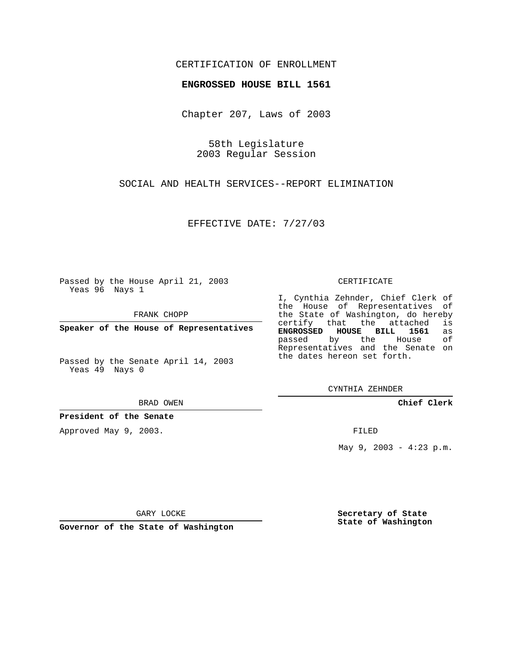## CERTIFICATION OF ENROLLMENT

### **ENGROSSED HOUSE BILL 1561**

Chapter 207, Laws of 2003

58th Legislature 2003 Regular Session

SOCIAL AND HEALTH SERVICES--REPORT ELIMINATION

EFFECTIVE DATE: 7/27/03

Passed by the House April 21, 2003 Yeas 96 Nays 1

FRANK CHOPP

**Speaker of the House of Representatives**

Passed by the Senate April 14, 2003 Yeas 49 Nays 0

#### BRAD OWEN

**President of the Senate**

Approved May 9, 2003.

#### CERTIFICATE

I, Cynthia Zehnder, Chief Clerk of the House of Representatives of the State of Washington, do hereby<br>certify that the attached is certify that the attached is<br>**ENGROSSED HOUSE BILL 1561** as **ENGROSSED HOUSE BILL 1561** as passed by the House Representatives and the Senate on the dates hereon set forth.

CYNTHIA ZEHNDER

**Chief Clerk**

FILED

May  $9, 2003 - 4:23 p.m.$ 

GARY LOCKE

**Governor of the State of Washington**

**Secretary of State State of Washington**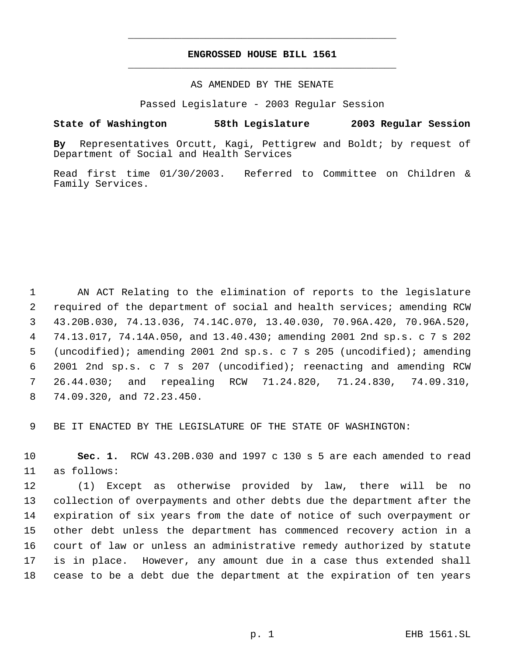# **ENGROSSED HOUSE BILL 1561** \_\_\_\_\_\_\_\_\_\_\_\_\_\_\_\_\_\_\_\_\_\_\_\_\_\_\_\_\_\_\_\_\_\_\_\_\_\_\_\_\_\_\_\_\_

\_\_\_\_\_\_\_\_\_\_\_\_\_\_\_\_\_\_\_\_\_\_\_\_\_\_\_\_\_\_\_\_\_\_\_\_\_\_\_\_\_\_\_\_\_

AS AMENDED BY THE SENATE

Passed Legislature - 2003 Regular Session

**State of Washington 58th Legislature 2003 Regular Session**

**By** Representatives Orcutt, Kagi, Pettigrew and Boldt; by request of Department of Social and Health Services

Read first time 01/30/2003. Referred to Committee on Children & Family Services.

 AN ACT Relating to the elimination of reports to the legislature required of the department of social and health services; amending RCW 43.20B.030, 74.13.036, 74.14C.070, 13.40.030, 70.96A.420, 70.96A.520, 74.13.017, 74.14A.050, and 13.40.430; amending 2001 2nd sp.s. c 7 s 202 (uncodified); amending 2001 2nd sp.s. c 7 s 205 (uncodified); amending 2001 2nd sp.s. c 7 s 207 (uncodified); reenacting and amending RCW 26.44.030; and repealing RCW 71.24.820, 71.24.830, 74.09.310, 74.09.320, and 72.23.450.

BE IT ENACTED BY THE LEGISLATURE OF THE STATE OF WASHINGTON:

 **Sec. 1.** RCW 43.20B.030 and 1997 c 130 s 5 are each amended to read as follows:

 (1) Except as otherwise provided by law, there will be no collection of overpayments and other debts due the department after the expiration of six years from the date of notice of such overpayment or other debt unless the department has commenced recovery action in a court of law or unless an administrative remedy authorized by statute is in place. However, any amount due in a case thus extended shall cease to be a debt due the department at the expiration of ten years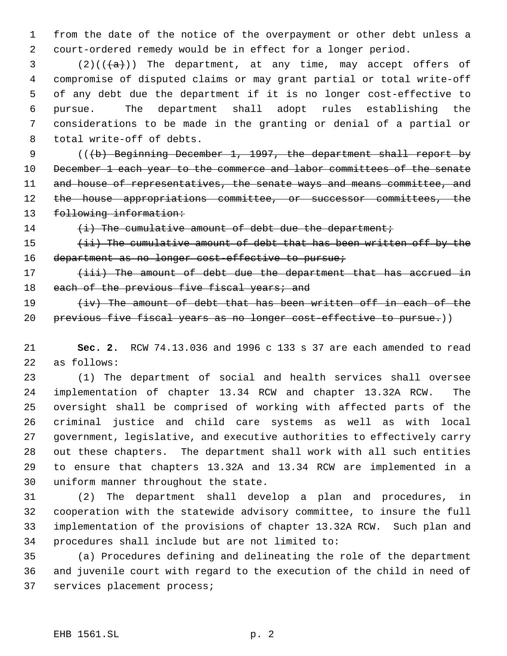from the date of the notice of the overpayment or other debt unless a court-ordered remedy would be in effect for a longer period.

3 (2)( $(\overline{a})$ ) The department, at any time, may accept offers of compromise of disputed claims or may grant partial or total write-off of any debt due the department if it is no longer cost-effective to pursue. The department shall adopt rules establishing the considerations to be made in the granting or denial of a partial or total write-off of debts.

9 (((b) Beginning December 1, 1997, the department shall report by 10 December 1 each year to the commerce and labor committees of the senate 11 and house of representatives, the senate ways and means committee, and 12 the house appropriations committee, or successor committees, the 13 following information:

14 (i) The cumulative amount of debt due the department;

15 (ii) The cumulative amount of debt that has been written off by the 16 department as no longer cost-effective to pursue;

17 (iii) The amount of debt due the department that has accrued in 18 each of the previous five fiscal years; and

19 (iv) The amount of debt that has been written off in each of the 20 previous five fiscal years as no longer cost effective to pursue.))

 **Sec. 2.** RCW 74.13.036 and 1996 c 133 s 37 are each amended to read as follows:

 (1) The department of social and health services shall oversee implementation of chapter 13.34 RCW and chapter 13.32A RCW. The oversight shall be comprised of working with affected parts of the criminal justice and child care systems as well as with local government, legislative, and executive authorities to effectively carry out these chapters. The department shall work with all such entities to ensure that chapters 13.32A and 13.34 RCW are implemented in a uniform manner throughout the state.

 (2) The department shall develop a plan and procedures, in cooperation with the statewide advisory committee, to insure the full implementation of the provisions of chapter 13.32A RCW. Such plan and procedures shall include but are not limited to:

 (a) Procedures defining and delineating the role of the department and juvenile court with regard to the execution of the child in need of services placement process;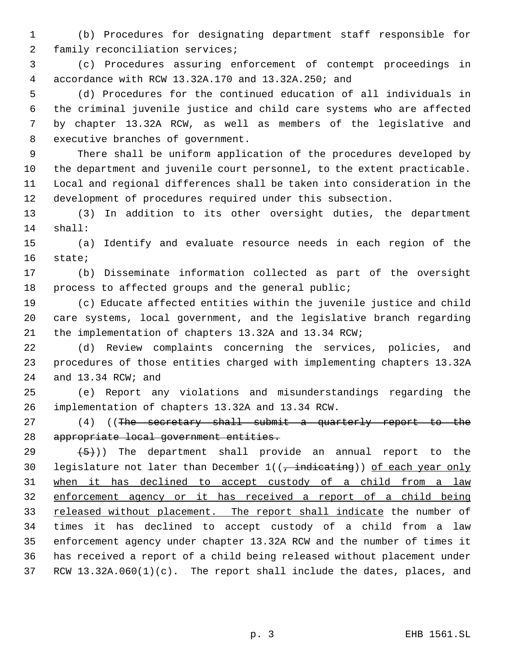(b) Procedures for designating department staff responsible for family reconciliation services;

 (c) Procedures assuring enforcement of contempt proceedings in accordance with RCW 13.32A.170 and 13.32A.250; and

 (d) Procedures for the continued education of all individuals in the criminal juvenile justice and child care systems who are affected by chapter 13.32A RCW, as well as members of the legislative and executive branches of government.

 There shall be uniform application of the procedures developed by the department and juvenile court personnel, to the extent practicable. Local and regional differences shall be taken into consideration in the development of procedures required under this subsection.

 (3) In addition to its other oversight duties, the department shall:

 (a) Identify and evaluate resource needs in each region of the state;

 (b) Disseminate information collected as part of the oversight process to affected groups and the general public;

 (c) Educate affected entities within the juvenile justice and child care systems, local government, and the legislative branch regarding the implementation of chapters 13.32A and 13.34 RCW;

 (d) Review complaints concerning the services, policies, and procedures of those entities charged with implementing chapters 13.32A and 13.34 RCW; and

 (e) Report any violations and misunderstandings regarding the implementation of chapters 13.32A and 13.34 RCW.

27 (4) ((The secretary shall submit a quarterly report to the appropriate local government entities.

 $(5)$ ) The department shall provide an annual report to the 30 legislature not later than December  $1((\tau$ -indicating)) of each year only when it has declined to accept custody of a child from a law enforcement agency or it has received a report of a child being 33 released without placement. The report shall indicate the number of times it has declined to accept custody of a child from a law enforcement agency under chapter 13.32A RCW and the number of times it has received a report of a child being released without placement under RCW 13.32A.060(1)(c). The report shall include the dates, places, and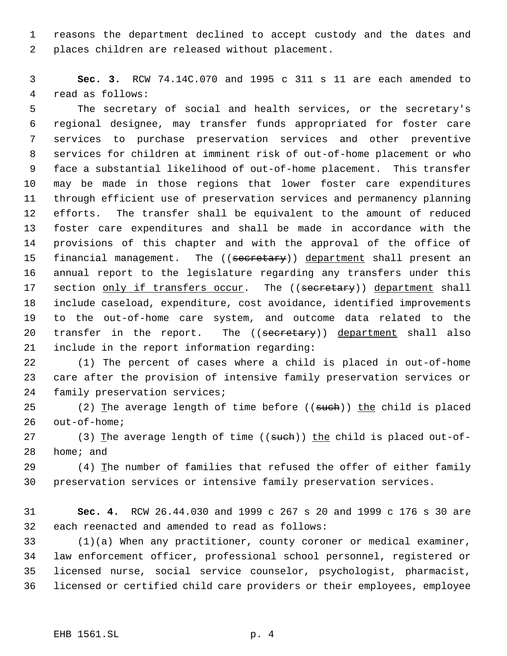reasons the department declined to accept custody and the dates and places children are released without placement.

 **Sec. 3.** RCW 74.14C.070 and 1995 c 311 s 11 are each amended to read as follows:

 The secretary of social and health services, or the secretary's regional designee, may transfer funds appropriated for foster care services to purchase preservation services and other preventive services for children at imminent risk of out-of-home placement or who face a substantial likelihood of out-of-home placement. This transfer may be made in those regions that lower foster care expenditures through efficient use of preservation services and permanency planning efforts. The transfer shall be equivalent to the amount of reduced foster care expenditures and shall be made in accordance with the provisions of this chapter and with the approval of the office of 15 financial management. The ((secretary)) department shall present an annual report to the legislature regarding any transfers under this 17 section only if transfers occur. The ((secretary)) department shall include caseload, expenditure, cost avoidance, identified improvements to the out-of-home care system, and outcome data related to the 20 transfer in the report. The ((secretary)) department shall also include in the report information regarding:

 (1) The percent of cases where a child is placed in out-of-home care after the provision of intensive family preservation services or 24 family preservation services;

25 (2) The average length of time before ((such)) the child is placed out-of-home;

27 (3) The average length of time ((such)) the child is placed out-of-home; and

 (4) The number of families that refused the offer of either family preservation services or intensive family preservation services.

 **Sec. 4.** RCW 26.44.030 and 1999 c 267 s 20 and 1999 c 176 s 30 are each reenacted and amended to read as follows:

 (1)(a) When any practitioner, county coroner or medical examiner, law enforcement officer, professional school personnel, registered or licensed nurse, social service counselor, psychologist, pharmacist, licensed or certified child care providers or their employees, employee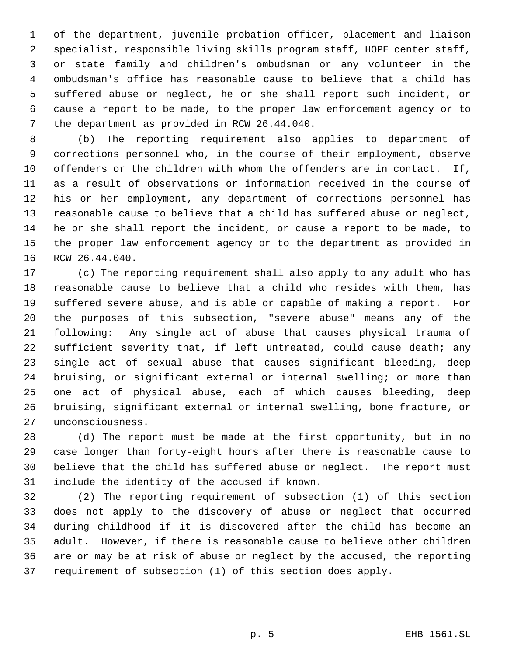of the department, juvenile probation officer, placement and liaison specialist, responsible living skills program staff, HOPE center staff, or state family and children's ombudsman or any volunteer in the ombudsman's office has reasonable cause to believe that a child has suffered abuse or neglect, he or she shall report such incident, or cause a report to be made, to the proper law enforcement agency or to the department as provided in RCW 26.44.040.

 (b) The reporting requirement also applies to department of corrections personnel who, in the course of their employment, observe offenders or the children with whom the offenders are in contact. If, as a result of observations or information received in the course of his or her employment, any department of corrections personnel has reasonable cause to believe that a child has suffered abuse or neglect, he or she shall report the incident, or cause a report to be made, to the proper law enforcement agency or to the department as provided in RCW 26.44.040.

 (c) The reporting requirement shall also apply to any adult who has reasonable cause to believe that a child who resides with them, has suffered severe abuse, and is able or capable of making a report. For the purposes of this subsection, "severe abuse" means any of the following: Any single act of abuse that causes physical trauma of sufficient severity that, if left untreated, could cause death; any single act of sexual abuse that causes significant bleeding, deep bruising, or significant external or internal swelling; or more than one act of physical abuse, each of which causes bleeding, deep bruising, significant external or internal swelling, bone fracture, or unconsciousness.

 (d) The report must be made at the first opportunity, but in no case longer than forty-eight hours after there is reasonable cause to believe that the child has suffered abuse or neglect. The report must include the identity of the accused if known.

 (2) The reporting requirement of subsection (1) of this section does not apply to the discovery of abuse or neglect that occurred during childhood if it is discovered after the child has become an adult. However, if there is reasonable cause to believe other children are or may be at risk of abuse or neglect by the accused, the reporting requirement of subsection (1) of this section does apply.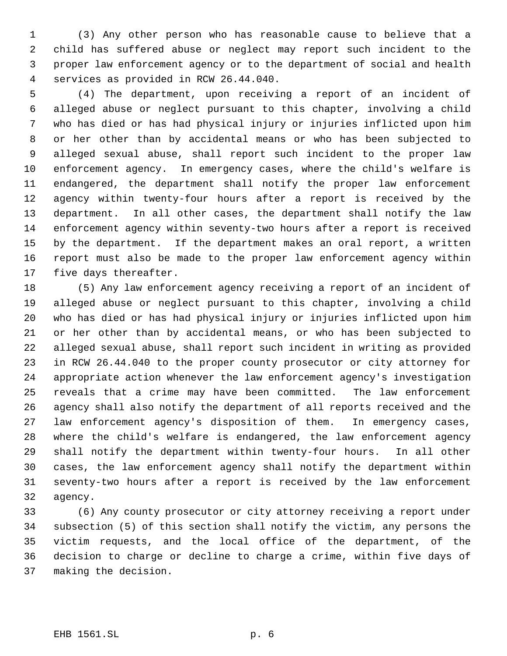(3) Any other person who has reasonable cause to believe that a child has suffered abuse or neglect may report such incident to the proper law enforcement agency or to the department of social and health services as provided in RCW 26.44.040.

 (4) The department, upon receiving a report of an incident of alleged abuse or neglect pursuant to this chapter, involving a child who has died or has had physical injury or injuries inflicted upon him or her other than by accidental means or who has been subjected to alleged sexual abuse, shall report such incident to the proper law enforcement agency. In emergency cases, where the child's welfare is endangered, the department shall notify the proper law enforcement agency within twenty-four hours after a report is received by the department. In all other cases, the department shall notify the law enforcement agency within seventy-two hours after a report is received by the department. If the department makes an oral report, a written report must also be made to the proper law enforcement agency within five days thereafter.

 (5) Any law enforcement agency receiving a report of an incident of alleged abuse or neglect pursuant to this chapter, involving a child who has died or has had physical injury or injuries inflicted upon him or her other than by accidental means, or who has been subjected to alleged sexual abuse, shall report such incident in writing as provided in RCW 26.44.040 to the proper county prosecutor or city attorney for appropriate action whenever the law enforcement agency's investigation reveals that a crime may have been committed. The law enforcement agency shall also notify the department of all reports received and the law enforcement agency's disposition of them. In emergency cases, where the child's welfare is endangered, the law enforcement agency shall notify the department within twenty-four hours. In all other cases, the law enforcement agency shall notify the department within seventy-two hours after a report is received by the law enforcement agency.

 (6) Any county prosecutor or city attorney receiving a report under subsection (5) of this section shall notify the victim, any persons the victim requests, and the local office of the department, of the decision to charge or decline to charge a crime, within five days of making the decision.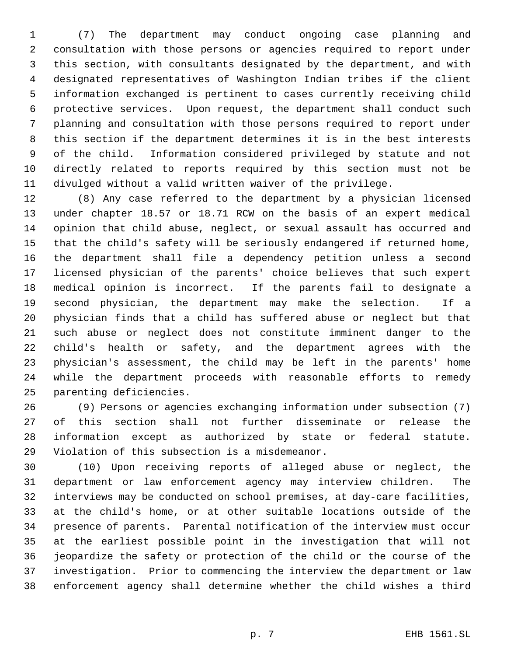(7) The department may conduct ongoing case planning and consultation with those persons or agencies required to report under this section, with consultants designated by the department, and with designated representatives of Washington Indian tribes if the client information exchanged is pertinent to cases currently receiving child protective services. Upon request, the department shall conduct such planning and consultation with those persons required to report under this section if the department determines it is in the best interests of the child. Information considered privileged by statute and not directly related to reports required by this section must not be divulged without a valid written waiver of the privilege.

 (8) Any case referred to the department by a physician licensed under chapter 18.57 or 18.71 RCW on the basis of an expert medical opinion that child abuse, neglect, or sexual assault has occurred and that the child's safety will be seriously endangered if returned home, the department shall file a dependency petition unless a second licensed physician of the parents' choice believes that such expert medical opinion is incorrect. If the parents fail to designate a second physician, the department may make the selection. If a physician finds that a child has suffered abuse or neglect but that such abuse or neglect does not constitute imminent danger to the child's health or safety, and the department agrees with the physician's assessment, the child may be left in the parents' home while the department proceeds with reasonable efforts to remedy parenting deficiencies.

 (9) Persons or agencies exchanging information under subsection (7) of this section shall not further disseminate or release the information except as authorized by state or federal statute. Violation of this subsection is a misdemeanor.

 (10) Upon receiving reports of alleged abuse or neglect, the department or law enforcement agency may interview children. The interviews may be conducted on school premises, at day-care facilities, at the child's home, or at other suitable locations outside of the presence of parents. Parental notification of the interview must occur at the earliest possible point in the investigation that will not jeopardize the safety or protection of the child or the course of the investigation. Prior to commencing the interview the department or law enforcement agency shall determine whether the child wishes a third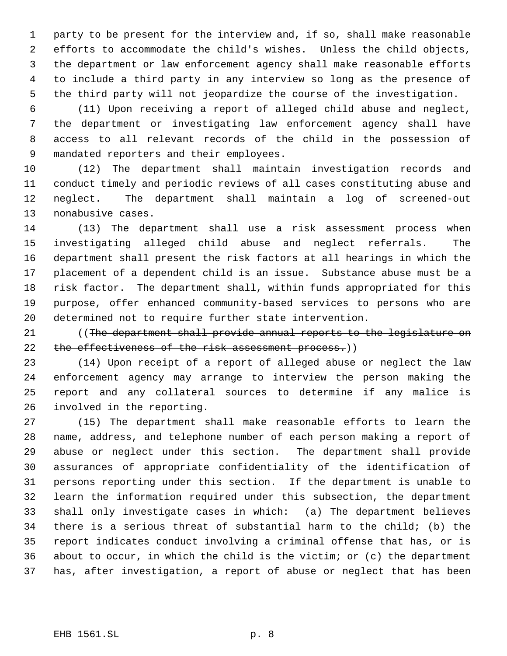party to be present for the interview and, if so, shall make reasonable efforts to accommodate the child's wishes. Unless the child objects, the department or law enforcement agency shall make reasonable efforts to include a third party in any interview so long as the presence of the third party will not jeopardize the course of the investigation.

 (11) Upon receiving a report of alleged child abuse and neglect, the department or investigating law enforcement agency shall have access to all relevant records of the child in the possession of mandated reporters and their employees.

 (12) The department shall maintain investigation records and conduct timely and periodic reviews of all cases constituting abuse and neglect. The department shall maintain a log of screened-out nonabusive cases.

 (13) The department shall use a risk assessment process when investigating alleged child abuse and neglect referrals. The department shall present the risk factors at all hearings in which the placement of a dependent child is an issue. Substance abuse must be a risk factor. The department shall, within funds appropriated for this purpose, offer enhanced community-based services to persons who are determined not to require further state intervention.

 ((The department shall provide annual reports to the legislature on 22 the effectiveness of the risk assessment process.))

 (14) Upon receipt of a report of alleged abuse or neglect the law enforcement agency may arrange to interview the person making the report and any collateral sources to determine if any malice is involved in the reporting.

 (15) The department shall make reasonable efforts to learn the name, address, and telephone number of each person making a report of abuse or neglect under this section. The department shall provide assurances of appropriate confidentiality of the identification of persons reporting under this section. If the department is unable to learn the information required under this subsection, the department shall only investigate cases in which: (a) The department believes there is a serious threat of substantial harm to the child; (b) the report indicates conduct involving a criminal offense that has, or is about to occur, in which the child is the victim; or (c) the department has, after investigation, a report of abuse or neglect that has been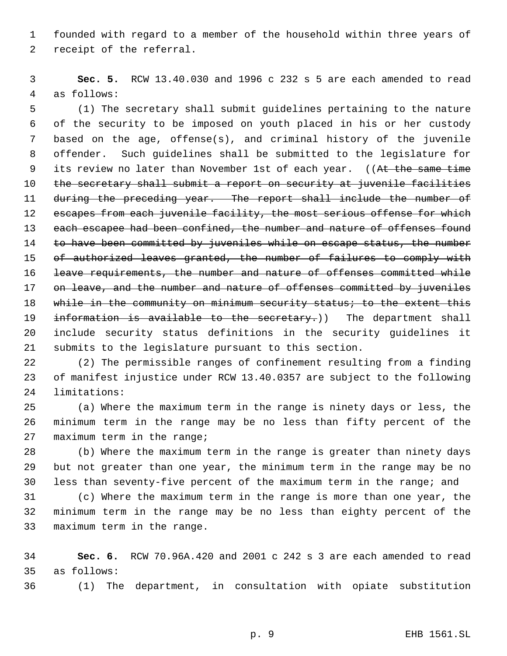founded with regard to a member of the household within three years of receipt of the referral.

 **Sec. 5.** RCW 13.40.030 and 1996 c 232 s 5 are each amended to read as follows:

 (1) The secretary shall submit guidelines pertaining to the nature of the security to be imposed on youth placed in his or her custody based on the age, offense(s), and criminal history of the juvenile offender. Such guidelines shall be submitted to the legislature for 9 its review no later than November 1st of each year. ((At the same time 10 the secretary shall submit a report on security at juvenile facilities 11 during the preceding year. The report shall include the number of 12 escapes from each juvenile facility, the most serious offense for which 13 each escapee had been confined, the number and nature of offenses found 14 to have been committed by juveniles while on escape status, the number 15 of authorized leaves granted, the number of failures to comply with 16 leave requirements, the number and nature of offenses committed while 17 on leave, and the number and nature of offenses committed by juveniles 18 while in the community on minimum security status; to the extent this 19 information is available to the secretary.)) The department shall include security status definitions in the security guidelines it submits to the legislature pursuant to this section.

 (2) The permissible ranges of confinement resulting from a finding of manifest injustice under RCW 13.40.0357 are subject to the following limitations:

 (a) Where the maximum term in the range is ninety days or less, the minimum term in the range may be no less than fifty percent of the maximum term in the range;

 (b) Where the maximum term in the range is greater than ninety days but not greater than one year, the minimum term in the range may be no less than seventy-five percent of the maximum term in the range; and

 (c) Where the maximum term in the range is more than one year, the minimum term in the range may be no less than eighty percent of the maximum term in the range.

 **Sec. 6.** RCW 70.96A.420 and 2001 c 242 s 3 are each amended to read as follows:

(1) The department, in consultation with opiate substitution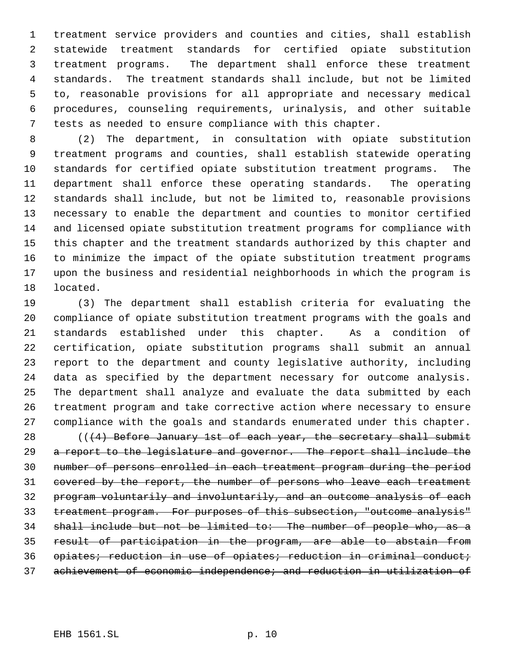treatment service providers and counties and cities, shall establish statewide treatment standards for certified opiate substitution treatment programs. The department shall enforce these treatment standards. The treatment standards shall include, but not be limited to, reasonable provisions for all appropriate and necessary medical procedures, counseling requirements, urinalysis, and other suitable tests as needed to ensure compliance with this chapter.

 (2) The department, in consultation with opiate substitution treatment programs and counties, shall establish statewide operating standards for certified opiate substitution treatment programs. The department shall enforce these operating standards. The operating standards shall include, but not be limited to, reasonable provisions necessary to enable the department and counties to monitor certified and licensed opiate substitution treatment programs for compliance with this chapter and the treatment standards authorized by this chapter and to minimize the impact of the opiate substitution treatment programs upon the business and residential neighborhoods in which the program is located.

 (3) The department shall establish criteria for evaluating the compliance of opiate substitution treatment programs with the goals and standards established under this chapter. As a condition of certification, opiate substitution programs shall submit an annual report to the department and county legislative authority, including data as specified by the department necessary for outcome analysis. The department shall analyze and evaluate the data submitted by each treatment program and take corrective action where necessary to ensure compliance with the goals and standards enumerated under this chapter. 28 (((4) Before January 1st of each year, the secretary shall submit 29 a report to the legislature and governor. The report shall include the number of persons enrolled in each treatment program during the period 31 covered by the report, the number of persons who leave each treatment program voluntarily and involuntarily, and an outcome analysis of each treatment program. For purposes of this subsection, "outcome analysis" shall include but not be limited to: The number of people who, as a result of participation in the program, are able to abstain from 36 opiates; reduction in use of opiates; reduction in criminal conduct; achievement of economic independence; and reduction in utilization of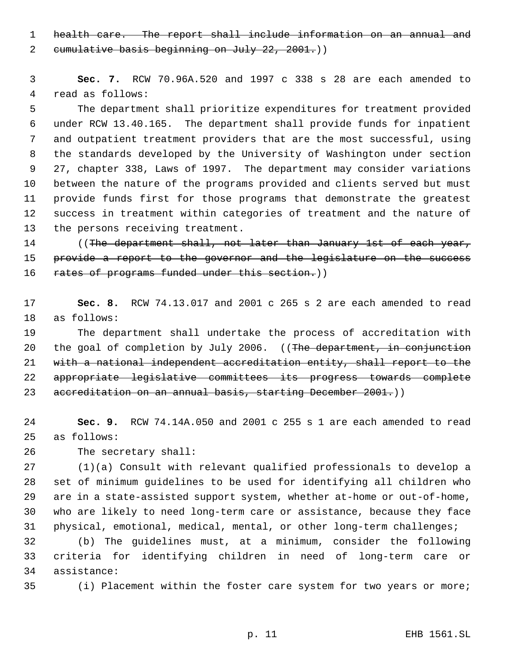health care. The report shall include information on an annual and

2 cumulative basis beginning on July 22, 2001.)

 **Sec. 7.** RCW 70.96A.520 and 1997 c 338 s 28 are each amended to read as follows:

 The department shall prioritize expenditures for treatment provided under RCW 13.40.165. The department shall provide funds for inpatient and outpatient treatment providers that are the most successful, using the standards developed by the University of Washington under section 27, chapter 338, Laws of 1997. The department may consider variations between the nature of the programs provided and clients served but must provide funds first for those programs that demonstrate the greatest success in treatment within categories of treatment and the nature of the persons receiving treatment.

14 ((The department shall, not later than January 1st of each year, 15 provide a report to the governor and the legislature on the success 16 rates of programs funded under this section.))

 **Sec. 8.** RCW 74.13.017 and 2001 c 265 s 2 are each amended to read as follows:

 The department shall undertake the process of accreditation with 20 the goal of completion by July 2006. ((The department, in conjunction with a national independent accreditation entity, shall report to the appropriate legislative committees its progress towards complete 23 accreditation on an annual basis, starting December 2001.))

 **Sec. 9.** RCW 74.14A.050 and 2001 c 255 s 1 are each amended to read as follows:

The secretary shall:

 (1)(a) Consult with relevant qualified professionals to develop a set of minimum guidelines to be used for identifying all children who are in a state-assisted support system, whether at-home or out-of-home, who are likely to need long-term care or assistance, because they face physical, emotional, medical, mental, or other long-term challenges;

 (b) The guidelines must, at a minimum, consider the following criteria for identifying children in need of long-term care or assistance:

(i) Placement within the foster care system for two years or more;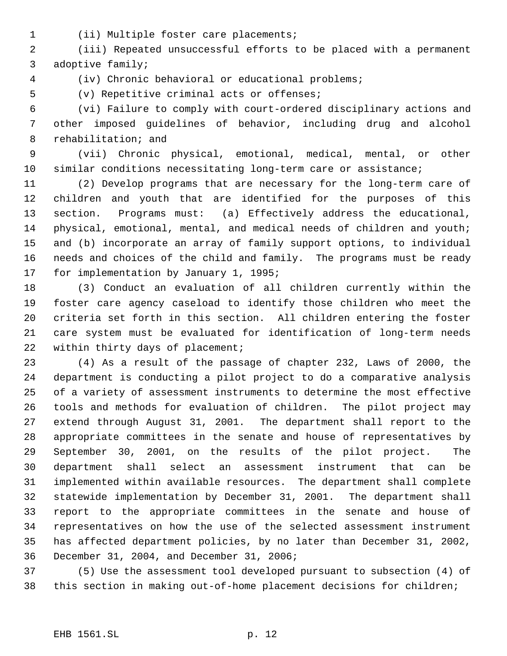(ii) Multiple foster care placements;

 (iii) Repeated unsuccessful efforts to be placed with a permanent adoptive family;

(iv) Chronic behavioral or educational problems;

(v) Repetitive criminal acts or offenses;

 (vi) Failure to comply with court-ordered disciplinary actions and other imposed guidelines of behavior, including drug and alcohol rehabilitation; and

 (vii) Chronic physical, emotional, medical, mental, or other similar conditions necessitating long-term care or assistance;

 (2) Develop programs that are necessary for the long-term care of children and youth that are identified for the purposes of this section. Programs must: (a) Effectively address the educational, physical, emotional, mental, and medical needs of children and youth; and (b) incorporate an array of family support options, to individual needs and choices of the child and family. The programs must be ready for implementation by January 1, 1995;

 (3) Conduct an evaluation of all children currently within the foster care agency caseload to identify those children who meet the criteria set forth in this section. All children entering the foster care system must be evaluated for identification of long-term needs 22 within thirty days of placement;

 (4) As a result of the passage of chapter 232, Laws of 2000, the department is conducting a pilot project to do a comparative analysis of a variety of assessment instruments to determine the most effective tools and methods for evaluation of children. The pilot project may extend through August 31, 2001. The department shall report to the appropriate committees in the senate and house of representatives by September 30, 2001, on the results of the pilot project. The department shall select an assessment instrument that can be implemented within available resources. The department shall complete statewide implementation by December 31, 2001. The department shall report to the appropriate committees in the senate and house of representatives on how the use of the selected assessment instrument has affected department policies, by no later than December 31, 2002, December 31, 2004, and December 31, 2006;

 (5) Use the assessment tool developed pursuant to subsection (4) of this section in making out-of-home placement decisions for children;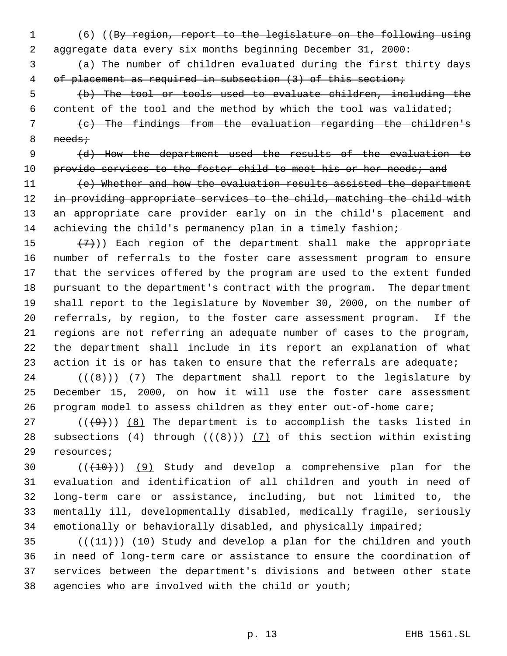(6) ((By region, report to the legislature on the following using aggregate data every six months beginning December 31, 2000:

 (a) The number of children evaluated during the first thirty days of placement as required in subsection (3) of this section;

 (b) The tool or tools used to evaluate children, including the content of the tool and the method by which the tool was validated;

 (c) The findings from the evaluation regarding the children's 8 needs;

 (d) How the department used the results of the evaluation to 10 provide services to the foster child to meet his or her needs; and

11 (e) Whether and how the evaluation results assisted the department 12 in providing appropriate services to the child, matching the child with 13 an appropriate care provider early on in the child's placement and 14 achieving the child's permanency plan in a timely fashion;

 $(7)$ )) Each region of the department shall make the appropriate number of referrals to the foster care assessment program to ensure that the services offered by the program are used to the extent funded pursuant to the department's contract with the program. The department shall report to the legislature by November 30, 2000, on the number of referrals, by region, to the foster care assessment program. If the regions are not referring an adequate number of cases to the program, the department shall include in its report an explanation of what 23 action it is or has taken to ensure that the referrals are adequate;

 (( $\left(\frac{1}{8}\right)$ ) (7) The department shall report to the legislature by December 15, 2000, on how it will use the foster care assessment program model to assess children as they enter out-of-home care;

27 ( $(\langle 49 \rangle)$  (8) The department is to accomplish the tasks listed in 28 subsections (4) through  $((+8))$   $(7)$  of this section within existing resources;

 $((+10))$   $(9)$  Study and develop a comprehensive plan for the evaluation and identification of all children and youth in need of long-term care or assistance, including, but not limited to, the mentally ill, developmentally disabled, medically fragile, seriously emotionally or behaviorally disabled, and physically impaired;

 (( $(11)$ )) (10) Study and develop a plan for the children and youth in need of long-term care or assistance to ensure the coordination of services between the department's divisions and between other state agencies who are involved with the child or youth;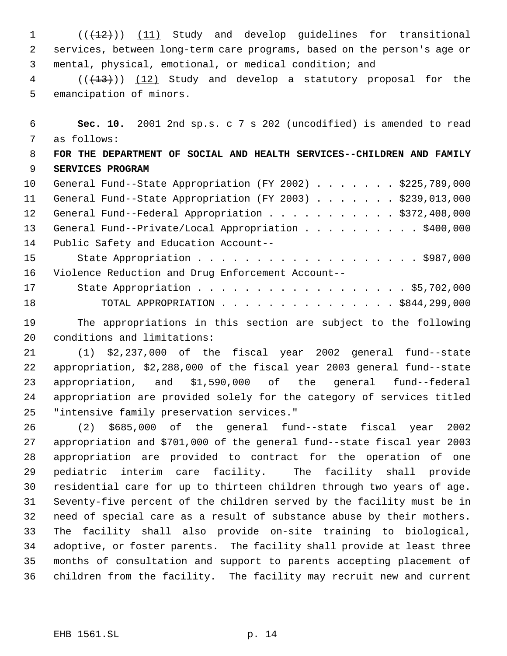1 (( $(12)$ )) (11) Study and develop guidelines for transitional services, between long-term care programs, based on the person's age or mental, physical, emotional, or medical condition; and

4 (( $(13)$ )) (12) Study and develop a statutory proposal for the emancipation of minors.

 **Sec. 10.** 2001 2nd sp.s. c 7 s 202 (uncodified) is amended to read as follows: **FOR THE DEPARTMENT OF SOCIAL AND HEALTH SERVICES--CHILDREN AND FAMILY SERVICES PROGRAM** General Fund--State Appropriation (FY 2002) . . . . . . . \$225,789,000 General Fund--State Appropriation (FY 2003) . . . . . . . \$239,013,000

12 General Fund--Federal Appropriation . . . . . . . . . . \$372,408,000 13 General Fund--Private/Local Appropriation . . . . . . . . . \$400,000 Public Safety and Education Account-- 15 State Appropriation . . . . . . . . . . . . . . . . . . \$987,000 Violence Reduction and Drug Enforcement Account--

17 State Appropriation . . . . . . . . . . . . . . . . . \$5,702,000 TOTAL APPROPRIATION . . . . . . . . . . . . . . . \$844,299,000

 The appropriations in this section are subject to the following conditions and limitations:

 (1) \$2,237,000 of the fiscal year 2002 general fund--state appropriation, \$2,288,000 of the fiscal year 2003 general fund--state appropriation, and \$1,590,000 of the general fund--federal appropriation are provided solely for the category of services titled "intensive family preservation services."

 (2) \$685,000 of the general fund--state fiscal year 2002 appropriation and \$701,000 of the general fund--state fiscal year 2003 appropriation are provided to contract for the operation of one pediatric interim care facility. The facility shall provide residential care for up to thirteen children through two years of age. Seventy-five percent of the children served by the facility must be in need of special care as a result of substance abuse by their mothers. The facility shall also provide on-site training to biological, adoptive, or foster parents. The facility shall provide at least three months of consultation and support to parents accepting placement of children from the facility. The facility may recruit new and current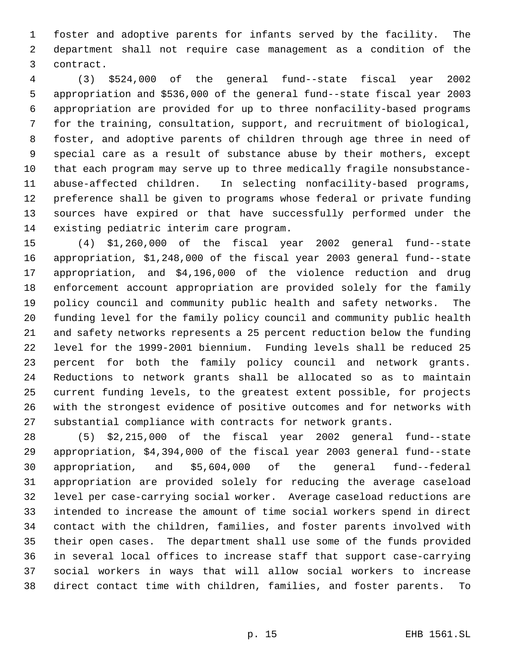foster and adoptive parents for infants served by the facility. The department shall not require case management as a condition of the contract.

 (3) \$524,000 of the general fund--state fiscal year 2002 appropriation and \$536,000 of the general fund--state fiscal year 2003 appropriation are provided for up to three nonfacility-based programs for the training, consultation, support, and recruitment of biological, foster, and adoptive parents of children through age three in need of special care as a result of substance abuse by their mothers, except that each program may serve up to three medically fragile nonsubstance- abuse-affected children. In selecting nonfacility-based programs, preference shall be given to programs whose federal or private funding sources have expired or that have successfully performed under the existing pediatric interim care program.

 (4) \$1,260,000 of the fiscal year 2002 general fund--state appropriation, \$1,248,000 of the fiscal year 2003 general fund--state appropriation, and \$4,196,000 of the violence reduction and drug enforcement account appropriation are provided solely for the family policy council and community public health and safety networks. The funding level for the family policy council and community public health and safety networks represents a 25 percent reduction below the funding level for the 1999-2001 biennium. Funding levels shall be reduced 25 percent for both the family policy council and network grants. Reductions to network grants shall be allocated so as to maintain current funding levels, to the greatest extent possible, for projects with the strongest evidence of positive outcomes and for networks with substantial compliance with contracts for network grants.

 (5) \$2,215,000 of the fiscal year 2002 general fund--state appropriation, \$4,394,000 of the fiscal year 2003 general fund--state appropriation, and \$5,604,000 of the general fund--federal appropriation are provided solely for reducing the average caseload level per case-carrying social worker. Average caseload reductions are intended to increase the amount of time social workers spend in direct contact with the children, families, and foster parents involved with their open cases. The department shall use some of the funds provided in several local offices to increase staff that support case-carrying social workers in ways that will allow social workers to increase direct contact time with children, families, and foster parents. To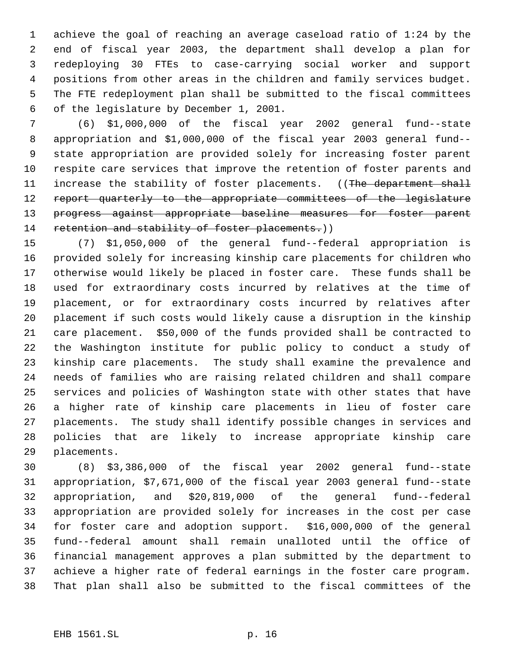achieve the goal of reaching an average caseload ratio of 1:24 by the end of fiscal year 2003, the department shall develop a plan for redeploying 30 FTEs to case-carrying social worker and support positions from other areas in the children and family services budget. The FTE redeployment plan shall be submitted to the fiscal committees of the legislature by December 1, 2001.

 (6) \$1,000,000 of the fiscal year 2002 general fund--state appropriation and \$1,000,000 of the fiscal year 2003 general fund-- state appropriation are provided solely for increasing foster parent respite care services that improve the retention of foster parents and 11 increase the stability of foster placements. ((The department shall 12 report quarterly to the appropriate committees of the legislature progress against appropriate baseline measures for foster parent 14 retention and stability of foster placements.))

 (7) \$1,050,000 of the general fund--federal appropriation is provided solely for increasing kinship care placements for children who otherwise would likely be placed in foster care. These funds shall be used for extraordinary costs incurred by relatives at the time of placement, or for extraordinary costs incurred by relatives after placement if such costs would likely cause a disruption in the kinship care placement. \$50,000 of the funds provided shall be contracted to the Washington institute for public policy to conduct a study of kinship care placements. The study shall examine the prevalence and needs of families who are raising related children and shall compare services and policies of Washington state with other states that have a higher rate of kinship care placements in lieu of foster care placements. The study shall identify possible changes in services and policies that are likely to increase appropriate kinship care placements.

 (8) \$3,386,000 of the fiscal year 2002 general fund--state appropriation, \$7,671,000 of the fiscal year 2003 general fund--state appropriation, and \$20,819,000 of the general fund--federal appropriation are provided solely for increases in the cost per case for foster care and adoption support. \$16,000,000 of the general fund--federal amount shall remain unalloted until the office of financial management approves a plan submitted by the department to achieve a higher rate of federal earnings in the foster care program. That plan shall also be submitted to the fiscal committees of the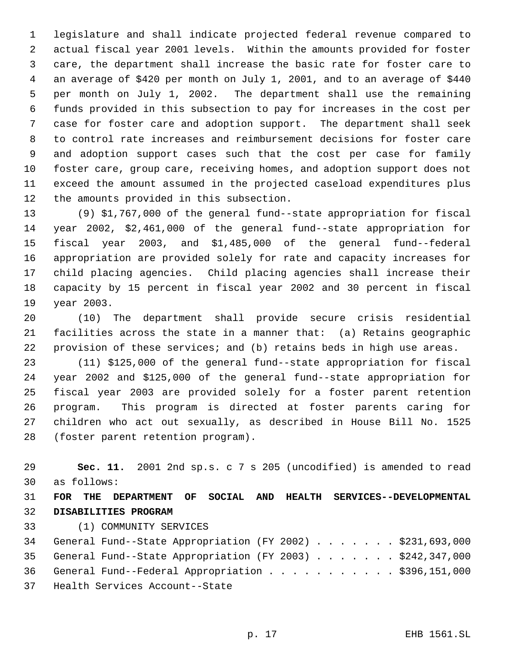legislature and shall indicate projected federal revenue compared to actual fiscal year 2001 levels. Within the amounts provided for foster care, the department shall increase the basic rate for foster care to an average of \$420 per month on July 1, 2001, and to an average of \$440 per month on July 1, 2002. The department shall use the remaining funds provided in this subsection to pay for increases in the cost per case for foster care and adoption support. The department shall seek to control rate increases and reimbursement decisions for foster care and adoption support cases such that the cost per case for family foster care, group care, receiving homes, and adoption support does not exceed the amount assumed in the projected caseload expenditures plus the amounts provided in this subsection.

 (9) \$1,767,000 of the general fund--state appropriation for fiscal year 2002, \$2,461,000 of the general fund--state appropriation for fiscal year 2003, and \$1,485,000 of the general fund--federal appropriation are provided solely for rate and capacity increases for child placing agencies. Child placing agencies shall increase their capacity by 15 percent in fiscal year 2002 and 30 percent in fiscal year 2003.

 (10) The department shall provide secure crisis residential facilities across the state in a manner that: (a) Retains geographic provision of these services; and (b) retains beds in high use areas.

 (11) \$125,000 of the general fund--state appropriation for fiscal year 2002 and \$125,000 of the general fund--state appropriation for fiscal year 2003 are provided solely for a foster parent retention program. This program is directed at foster parents caring for children who act out sexually, as described in House Bill No. 1525 (foster parent retention program).

 **Sec. 11.** 2001 2nd sp.s. c 7 s 205 (uncodified) is amended to read as follows:

 **FOR THE DEPARTMENT OF SOCIAL AND HEALTH SERVICES--DEVELOPMENTAL DISABILITIES PROGRAM**

(1) COMMUNITY SERVICES

|                                   | 34 General Fund--State Appropriation (FY 2002) \$231,693,000 |  |  |  |  |  |
|-----------------------------------|--------------------------------------------------------------|--|--|--|--|--|
|                                   | 35 General Fund--State Appropriation (FY 2003) \$242,347,000 |  |  |  |  |  |
|                                   | 36 General Fund--Federal Appropriation \$396,151,000         |  |  |  |  |  |
| 37 Health Services Account--State |                                                              |  |  |  |  |  |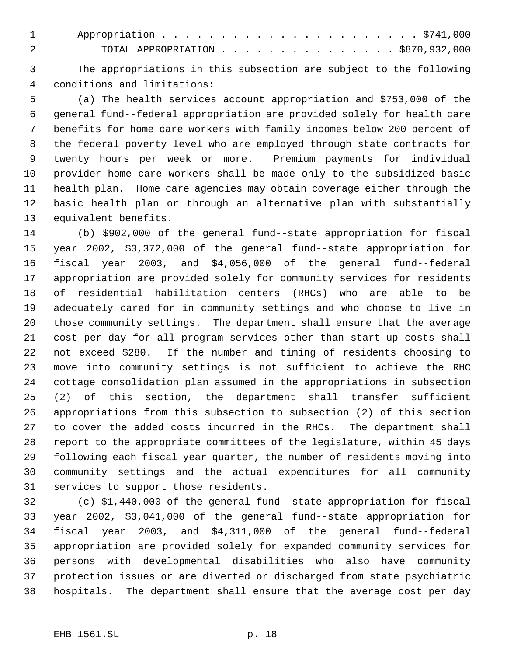| TOTAL APPROPRIATION \$870,932,000 |  |  |  |  |  |  |  |  |
|-----------------------------------|--|--|--|--|--|--|--|--|

 The appropriations in this subsection are subject to the following conditions and limitations:

 (a) The health services account appropriation and \$753,000 of the general fund--federal appropriation are provided solely for health care benefits for home care workers with family incomes below 200 percent of the federal poverty level who are employed through state contracts for twenty hours per week or more. Premium payments for individual provider home care workers shall be made only to the subsidized basic health plan. Home care agencies may obtain coverage either through the basic health plan or through an alternative plan with substantially equivalent benefits.

 (b) \$902,000 of the general fund--state appropriation for fiscal year 2002, \$3,372,000 of the general fund--state appropriation for fiscal year 2003, and \$4,056,000 of the general fund--federal appropriation are provided solely for community services for residents of residential habilitation centers (RHCs) who are able to be adequately cared for in community settings and who choose to live in those community settings. The department shall ensure that the average cost per day for all program services other than start-up costs shall not exceed \$280. If the number and timing of residents choosing to move into community settings is not sufficient to achieve the RHC cottage consolidation plan assumed in the appropriations in subsection (2) of this section, the department shall transfer sufficient appropriations from this subsection to subsection (2) of this section to cover the added costs incurred in the RHCs. The department shall report to the appropriate committees of the legislature, within 45 days following each fiscal year quarter, the number of residents moving into community settings and the actual expenditures for all community services to support those residents.

 (c) \$1,440,000 of the general fund--state appropriation for fiscal year 2002, \$3,041,000 of the general fund--state appropriation for fiscal year 2003, and \$4,311,000 of the general fund--federal appropriation are provided solely for expanded community services for persons with developmental disabilities who also have community protection issues or are diverted or discharged from state psychiatric hospitals. The department shall ensure that the average cost per day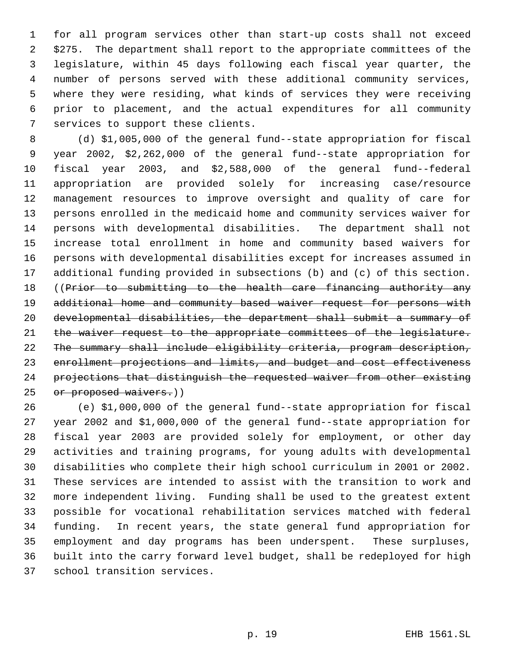for all program services other than start-up costs shall not exceed \$275. The department shall report to the appropriate committees of the legislature, within 45 days following each fiscal year quarter, the number of persons served with these additional community services, where they were residing, what kinds of services they were receiving prior to placement, and the actual expenditures for all community services to support these clients.

 (d) \$1,005,000 of the general fund--state appropriation for fiscal year 2002, \$2,262,000 of the general fund--state appropriation for fiscal year 2003, and \$2,588,000 of the general fund--federal appropriation are provided solely for increasing case/resource management resources to improve oversight and quality of care for persons enrolled in the medicaid home and community services waiver for persons with developmental disabilities. The department shall not increase total enrollment in home and community based waivers for persons with developmental disabilities except for increases assumed in additional funding provided in subsections (b) and (c) of this section. ((Prior to submitting to the health care financing authority any 19 additional home and community based waiver request for persons with developmental disabilities, the department shall submit a summary of 21 the waiver request to the appropriate committees of the legislature. The summary shall include eligibility criteria, program description, enrollment projections and limits, and budget and cost effectiveness projections that distinguish the requested waiver from other existing 25 or proposed waivers.))

 (e) \$1,000,000 of the general fund--state appropriation for fiscal year 2002 and \$1,000,000 of the general fund--state appropriation for fiscal year 2003 are provided solely for employment, or other day activities and training programs, for young adults with developmental disabilities who complete their high school curriculum in 2001 or 2002. These services are intended to assist with the transition to work and more independent living. Funding shall be used to the greatest extent possible for vocational rehabilitation services matched with federal funding. In recent years, the state general fund appropriation for employment and day programs has been underspent. These surpluses, built into the carry forward level budget, shall be redeployed for high school transition services.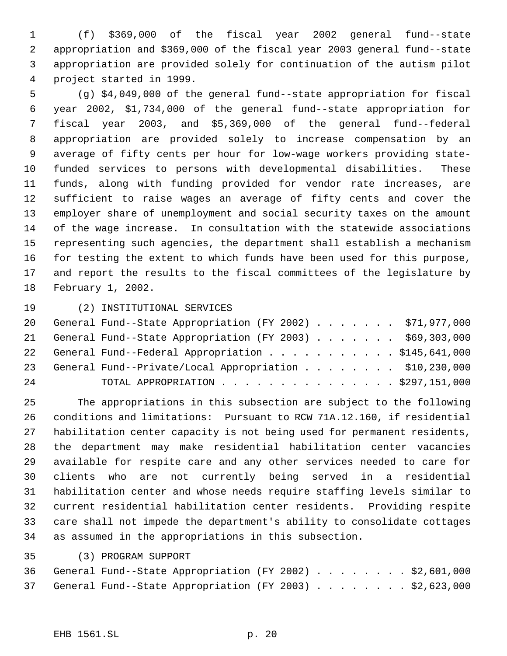(f) \$369,000 of the fiscal year 2002 general fund--state appropriation and \$369,000 of the fiscal year 2003 general fund--state appropriation are provided solely for continuation of the autism pilot project started in 1999.

 (g) \$4,049,000 of the general fund--state appropriation for fiscal year 2002, \$1,734,000 of the general fund--state appropriation for fiscal year 2003, and \$5,369,000 of the general fund--federal appropriation are provided solely to increase compensation by an average of fifty cents per hour for low-wage workers providing state- funded services to persons with developmental disabilities. These funds, along with funding provided for vendor rate increases, are sufficient to raise wages an average of fifty cents and cover the employer share of unemployment and social security taxes on the amount of the wage increase. In consultation with the statewide associations representing such agencies, the department shall establish a mechanism for testing the extent to which funds have been used for this purpose, and report the results to the fiscal committees of the legislature by February 1, 2002.

## (2) INSTITUTIONAL SERVICES

|    | 20 General Fund--State Appropriation (FY 2002) \$71,977,000 |  |
|----|-------------------------------------------------------------|--|
|    | 21 General Fund--State Appropriation (FY 2003) \$69,303,000 |  |
|    | 22 General Fund--Federal Appropriation \$145,641,000        |  |
|    | 23 General Fund--Private/Local Appropriation \$10,230,000   |  |
| 24 | TOTAL APPROPRIATION $\ldots$ , \$297,151,000                |  |

 The appropriations in this subsection are subject to the following conditions and limitations: Pursuant to RCW 71A.12.160, if residential habilitation center capacity is not being used for permanent residents, the department may make residential habilitation center vacancies available for respite care and any other services needed to care for clients who are not currently being served in a residential habilitation center and whose needs require staffing levels similar to current residential habilitation center residents. Providing respite care shall not impede the department's ability to consolidate cottages as assumed in the appropriations in this subsection.

(3) PROGRAM SUPPORT

|  | 36 General Fund--State Appropriation (FY 2002) \$2,601,000 |  |  |  |  |  |  |
|--|------------------------------------------------------------|--|--|--|--|--|--|
|  | 37 General Fund--State Appropriation (FY 2003) \$2,623,000 |  |  |  |  |  |  |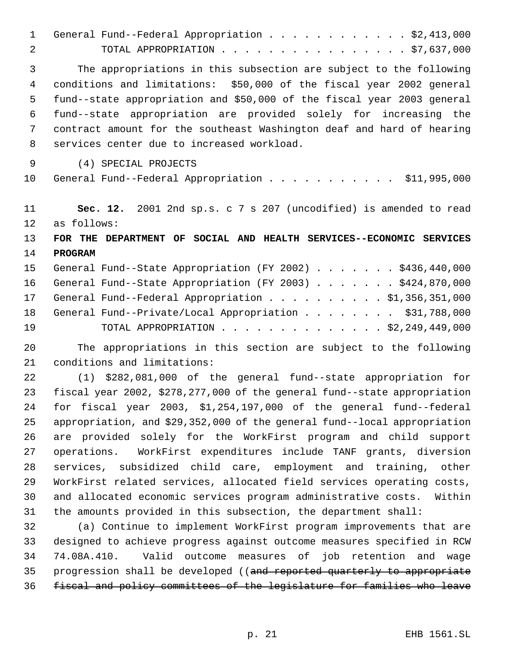| $\mathbf 1$    |                                                                          |
|----------------|--------------------------------------------------------------------------|
|                | General Fund--Federal Appropriation \$2,413,000                          |
| $\overline{2}$ | TOTAL APPROPRIATION $\ldots$ \$7,637,000                                 |
| 3              | The appropriations in this subsection are subject to the following       |
| $\overline{4}$ | conditions and limitations: \$50,000 of the fiscal year 2002 general     |
| 5              | fund--state appropriation and \$50,000 of the fiscal year 2003 general   |
| 6              | fund--state appropriation are provided solely for increasing the         |
| $\overline{7}$ | contract amount for the southeast Washington deaf and hard of hearing    |
| 8              | services center due to increased workload.                               |
| $\mathsf 9$    | (4) SPECIAL PROJECTS                                                     |
| 10             | General Fund--Federal Appropriation \$11,995,000                         |
|                |                                                                          |
| 11             | Sec. 12. 2001 2nd sp.s. c 7 s 207 (uncodified) is amended to read        |
| 12             | as follows:                                                              |
| 13             | FOR THE DEPARTMENT OF SOCIAL AND HEALTH SERVICES--ECONOMIC SERVICES      |
| 14             | <b>PROGRAM</b>                                                           |
|                |                                                                          |
| 15             | General Fund--State Appropriation (FY 2002) \$436,440,000                |
| 16             | General Fund--State Appropriation (FY 2003) \$424,870,000                |
| 17             | General Fund--Federal Appropriation \$1,356,351,000                      |
| 18             | General Fund--Private/Local Appropriation \$31,788,000                   |
| 19             | TOTAL APPROPRIATION \$2,249,449,000                                      |
| 20             | The appropriations in this section are subject to the following          |
| 21             | conditions and limitations:                                              |
| 22             | (1) \$282,081,000 of the general fund--state appropriation for           |
| 23             | fiscal year 2002, \$278,277,000 of the general fund--state appropriation |
| 24             | for fiscal year 2003, \$1,254,197,000 of the general fund--federal       |
| 25             | appropriation, and \$29,352,000 of the general fund--local appropriation |

 operations. WorkFirst expenditures include TANF grants, diversion services, subsidized child care, employment and training, other WorkFirst related services, allocated field services operating costs, and allocated economic services program administrative costs. Within the amounts provided in this subsection, the department shall:

 (a) Continue to implement WorkFirst program improvements that are designed to achieve progress against outcome measures specified in RCW 74.08A.410. Valid outcome measures of job retention and wage 35 progression shall be developed ((and reported quarterly to appropriate fiscal and policy committees of the legislature for families who leave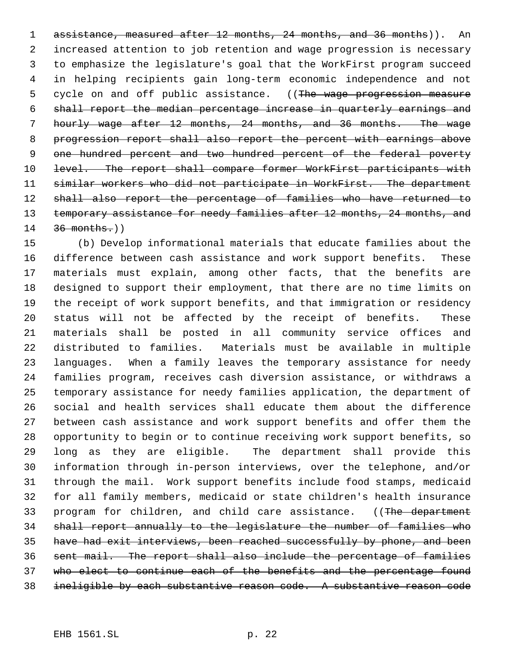1 assistance, measured after 12 months, 24 months, and 36 months)). An increased attention to job retention and wage progression is necessary to emphasize the legislature's goal that the WorkFirst program succeed in helping recipients gain long-term economic independence and not 5 cycle on and off public assistance. ((The wage progression measure shall report the median percentage increase in quarterly earnings and hourly wage after 12 months, 24 months, and 36 months. The wage progression report shall also report the percent with earnings above 9 one hundred percent and two hundred percent of the federal poverty 10 level. The report shall compare former WorkFirst participants with similar workers who did not participate in WorkFirst. The department 12 shall also report the percentage of families who have returned to 13 temporary assistance for needy families after 12 months, 24 months, and 14 36 months.))

 (b) Develop informational materials that educate families about the difference between cash assistance and work support benefits. These materials must explain, among other facts, that the benefits are designed to support their employment, that there are no time limits on the receipt of work support benefits, and that immigration or residency status will not be affected by the receipt of benefits. These materials shall be posted in all community service offices and distributed to families. Materials must be available in multiple languages. When a family leaves the temporary assistance for needy families program, receives cash diversion assistance, or withdraws a temporary assistance for needy families application, the department of social and health services shall educate them about the difference between cash assistance and work support benefits and offer them the opportunity to begin or to continue receiving work support benefits, so long as they are eligible. The department shall provide this information through in-person interviews, over the telephone, and/or through the mail. Work support benefits include food stamps, medicaid for all family members, medicaid or state children's health insurance 33 program for children, and child care assistance. ((The department shall report annually to the legislature the number of families who have had exit interviews, been reached successfully by phone, and been sent mail. The report shall also include the percentage of families who elect to continue each of the benefits and the percentage found ineligible by each substantive reason code. A substantive reason code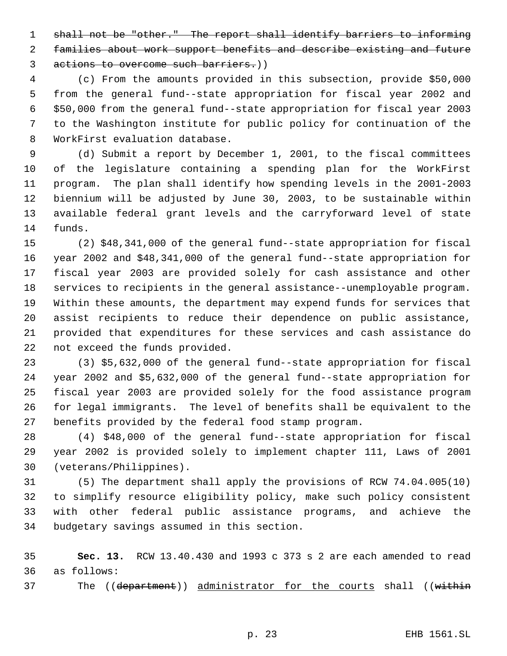shall not be "other." The report shall identify barriers to informing families about work support benefits and describe existing and future

3 actions to overcome such barriers.))

 (c) From the amounts provided in this subsection, provide \$50,000 from the general fund--state appropriation for fiscal year 2002 and \$50,000 from the general fund--state appropriation for fiscal year 2003 to the Washington institute for public policy for continuation of the WorkFirst evaluation database.

 (d) Submit a report by December 1, 2001, to the fiscal committees of the legislature containing a spending plan for the WorkFirst program. The plan shall identify how spending levels in the 2001-2003 biennium will be adjusted by June 30, 2003, to be sustainable within available federal grant levels and the carryforward level of state funds.

 (2) \$48,341,000 of the general fund--state appropriation for fiscal year 2002 and \$48,341,000 of the general fund--state appropriation for fiscal year 2003 are provided solely for cash assistance and other services to recipients in the general assistance--unemployable program. Within these amounts, the department may expend funds for services that assist recipients to reduce their dependence on public assistance, provided that expenditures for these services and cash assistance do not exceed the funds provided.

 (3) \$5,632,000 of the general fund--state appropriation for fiscal year 2002 and \$5,632,000 of the general fund--state appropriation for fiscal year 2003 are provided solely for the food assistance program for legal immigrants. The level of benefits shall be equivalent to the benefits provided by the federal food stamp program.

 (4) \$48,000 of the general fund--state appropriation for fiscal year 2002 is provided solely to implement chapter 111, Laws of 2001 (veterans/Philippines).

 (5) The department shall apply the provisions of RCW 74.04.005(10) to simplify resource eligibility policy, make such policy consistent with other federal public assistance programs, and achieve the budgetary savings assumed in this section.

 **Sec. 13.** RCW 13.40.430 and 1993 c 373 s 2 are each amended to read as follows:

37 The ((department)) administrator for the courts shall ((within